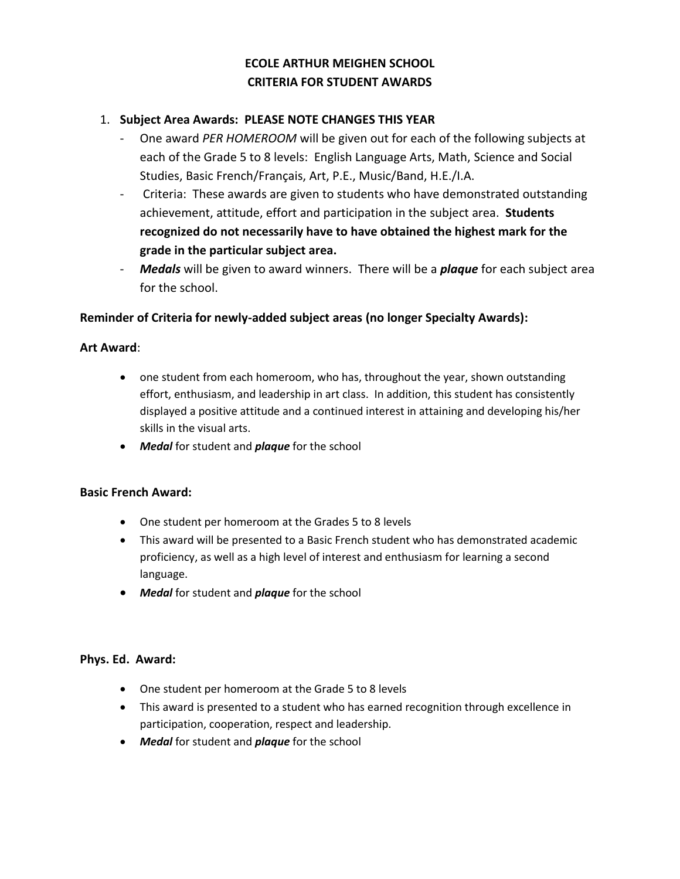# **ECOLE ARTHUR MEIGHEN SCHOOL CRITERIA FOR STUDENT AWARDS**

# 1. **Subject Area Awards: PLEASE NOTE CHANGES THIS YEAR**

- One award *PER HOMEROOM* will be given out for each of the following subjects at each of the Grade 5 to 8 levels: English Language Arts, Math, Science and Social Studies, Basic French/Français, Art, P.E., Music/Band, H.E./I.A.
- Criteria: These awards are given to students who have demonstrated outstanding achievement, attitude, effort and participation in the subject area. **Students recognized do not necessarily have to have obtained the highest mark for the grade in the particular subject area.**
- Medals will be given to award winners. There will be a *plaque* for each subject area for the school.

# **Reminder of Criteria for newly-added subject areas (no longer Specialty Awards):**

# **Art Award**:

- one student from each homeroom, who has, throughout the year, shown outstanding effort, enthusiasm, and leadership in art class. In addition, this student has consistently displayed a positive attitude and a continued interest in attaining and developing his/her skills in the visual arts.
- *Medal* for student and *plaque* for the school

# **Basic French Award:**

- One student per homeroom at the Grades 5 to 8 levels
- This award will be presented to a Basic French student who has demonstrated academic proficiency, as well as a high level of interest and enthusiasm for learning a second language.
- *Medal* for student and *plaque* for the school

# **Phys. Ed. Award:**

- One student per homeroom at the Grade 5 to 8 levels
- This award is presented to a student who has earned recognition through excellence in participation, cooperation, respect and leadership.
- *Medal* for student and *plaque* for the school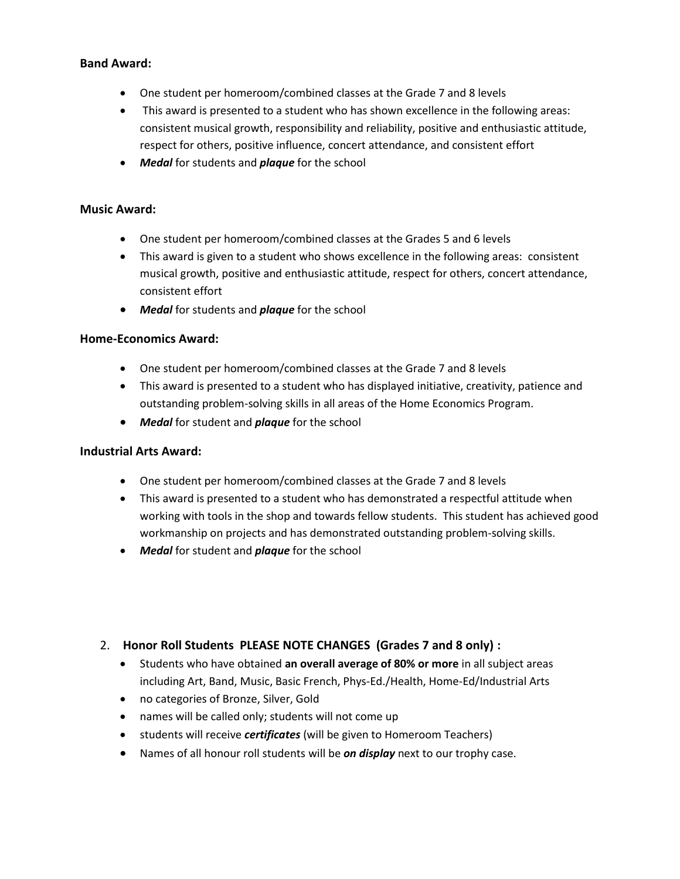# **Band Award:**

- One student per homeroom/combined classes at the Grade 7 and 8 levels
- This award is presented to a student who has shown excellence in the following areas: consistent musical growth, responsibility and reliability, positive and enthusiastic attitude, respect for others, positive influence, concert attendance, and consistent effort
- *Medal* for students and *plaque* for the school

#### **Music Award:**

- One student per homeroom/combined classes at the Grades 5 and 6 levels
- This award is given to a student who shows excellence in the following areas: consistent musical growth, positive and enthusiastic attitude, respect for others, concert attendance, consistent effort
- *Medal* for students and *plaque* for the school

#### **Home-Economics Award:**

- One student per homeroom/combined classes at the Grade 7 and 8 levels
- This award is presented to a student who has displayed initiative, creativity, patience and outstanding problem-solving skills in all areas of the Home Economics Program.
- *Medal* for student and *plaque* for the school

#### **Industrial Arts Award:**

- One student per homeroom/combined classes at the Grade 7 and 8 levels
- This award is presented to a student who has demonstrated a respectful attitude when working with tools in the shop and towards fellow students. This student has achieved good workmanship on projects and has demonstrated outstanding problem-solving skills.
- *Medal* for student and *plaque* for the school

# 2. **Honor Roll Students PLEASE NOTE CHANGES (Grades 7 and 8 only) :**

- Students who have obtained **an overall average of 80% or more** in all subject areas including Art, Band, Music, Basic French, Phys-Ed./Health, Home-Ed/Industrial Arts
- no categories of Bronze, Silver, Gold
- names will be called only; students will not come up
- students will receive *certificates* (will be given to Homeroom Teachers)
- Names of all honour roll students will be *on display* next to our trophy case.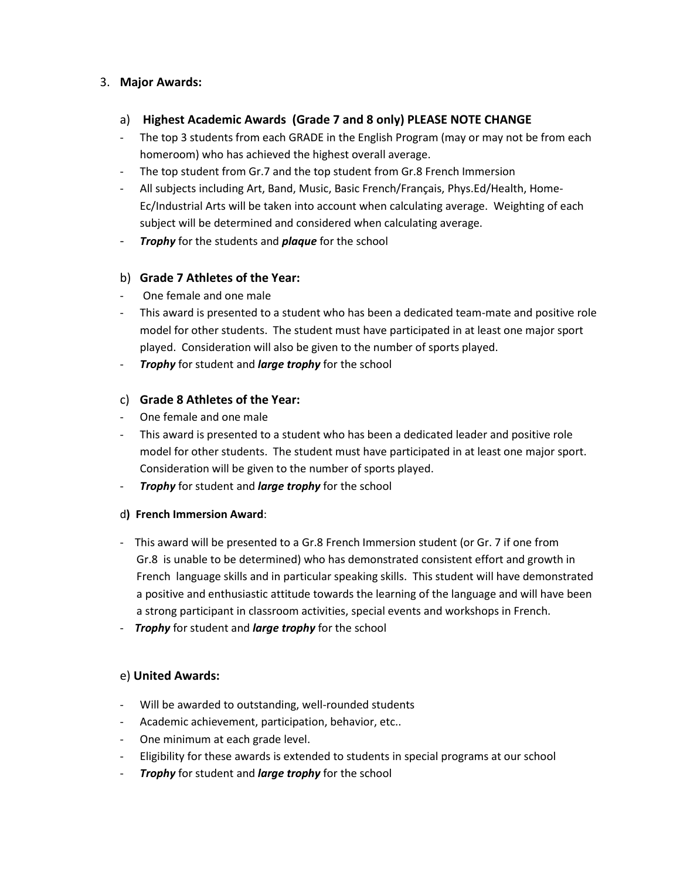# 3. **Major Awards:**

- a) **Highest Academic Awards (Grade 7 and 8 only) PLEASE NOTE CHANGE**
- The top 3 students from each GRADE in the English Program (may or may not be from each homeroom) who has achieved the highest overall average.
- The top student from Gr.7 and the top student from Gr.8 French Immersion
- All subjects including Art, Band, Music, Basic French/Français, Phys.Ed/Health, Home-Ec/Industrial Arts will be taken into account when calculating average. Weighting of each subject will be determined and considered when calculating average.
- *Trophy* for the students and *plaque* for the school

# b) **Grade 7 Athletes of the Year:**

- One female and one male
- This award is presented to a student who has been a dedicated team-mate and positive role model for other students. The student must have participated in at least one major sport played. Consideration will also be given to the number of sports played.
- *Trophy* for student and *large trophy* for the school

# c) **Grade 8 Athletes of the Year:**

- One female and one male
- This award is presented to a student who has been a dedicated leader and positive role model for other students. The student must have participated in at least one major sport. Consideration will be given to the number of sports played.
- *Trophy* for student and *large trophy* for the school

# d**) French Immersion Award**:

- This award will be presented to a Gr.8 French Immersion student (or Gr. 7 if one from Gr.8 is unable to be determined) who has demonstrated consistent effort and growth in French language skills and in particular speaking skills. This student will have demonstrated a positive and enthusiastic attitude towards the learning of the language and will have been a strong participant in classroom activities, special events and workshops in French.
- *Trophy* for student and *large trophy* for the school

# e) **United Awards:**

- Will be awarded to outstanding, well-rounded students
- Academic achievement, participation, behavior, etc..
- One minimum at each grade level.
- Eligibility for these awards is extended to students in special programs at our school
- *Trophy* for student and *large trophy* for the school